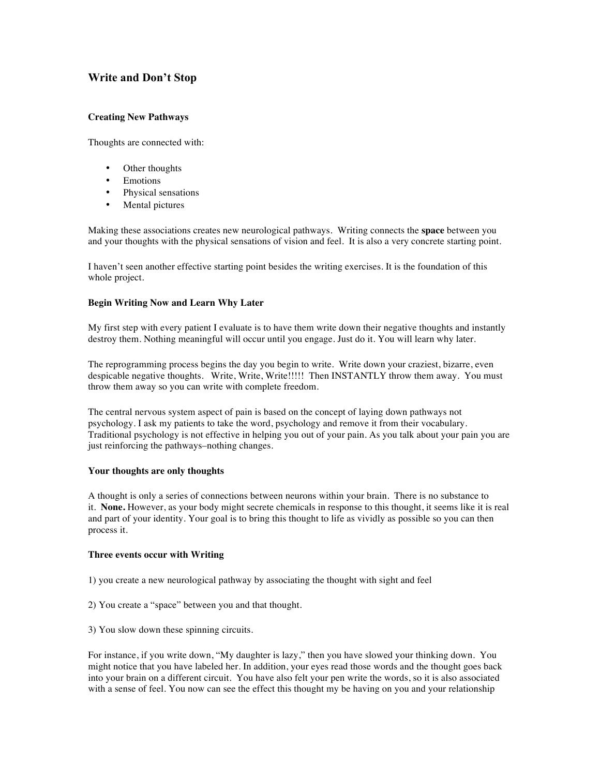# **Write and Don't Stop**

## **Creating New Pathways**

Thoughts are connected with:

- Other thoughts
- Emotions
- Physical sensations
- Mental pictures

Making these associations creates new neurological pathways. Writing connects the **space** between you and your thoughts with the physical sensations of vision and feel. It is also a very concrete starting point.

I haven't seen another effective starting point besides the writing exercises. It is the foundation of this whole project.

## **Begin Writing Now and Learn Why Later**

My first step with every patient I evaluate is to have them write down their negative thoughts and instantly destroy them. Nothing meaningful will occur until you engage. Just do it. You will learn why later.

The reprogramming process begins the day you begin to write. Write down your craziest, bizarre, even despicable negative thoughts. Write, Write, Write!!!!! Then INSTANTLY throw them away. You must throw them away so you can write with complete freedom.

The central nervous system aspect of pain is based on the concept of laying down pathways not psychology. I ask my patients to take the word, psychology and remove it from their vocabulary. Traditional psychology is not effective in helping you out of your pain. As you talk about your pain you are just reinforcing the pathways–nothing changes.

#### **Your thoughts are only thoughts**

A thought is only a series of connections between neurons within your brain. There is no substance to it. **None.** However, as your body might secrete chemicals in response to this thought, it seems like it is real and part of your identity. Your goal is to bring this thought to life as vividly as possible so you can then process it.

#### **Three events occur with Writing**

- 1) you create a new neurological pathway by associating the thought with sight and feel
- 2) You create a "space" between you and that thought.
- 3) You slow down these spinning circuits.

For instance, if you write down, "My daughter is lazy," then you have slowed your thinking down. You might notice that you have labeled her. In addition, your eyes read those words and the thought goes back into your brain on a different circuit. You have also felt your pen write the words, so it is also associated with a sense of feel. You now can see the effect this thought my be having on you and your relationship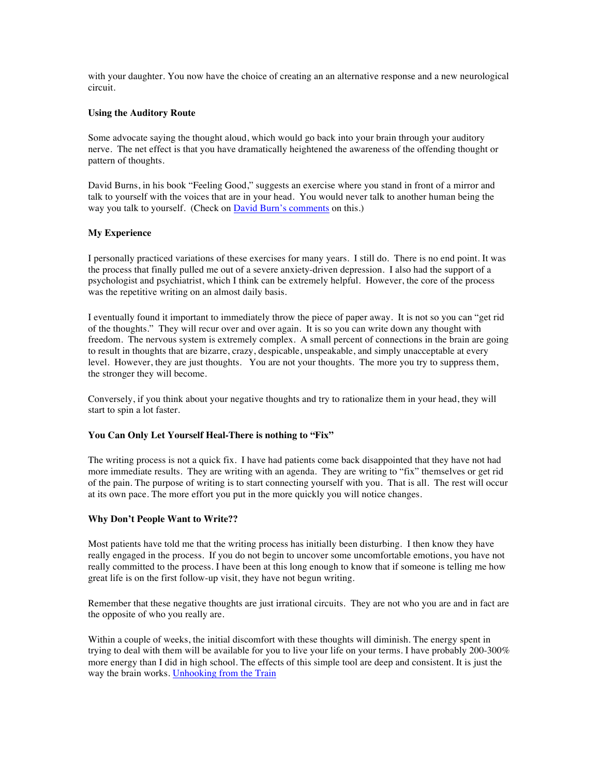with your daughter. You now have the choice of creating an an alternative response and a new neurological circuit.

#### **Using the Auditory Route**

Some advocate saying the thought aloud, which would go back into your brain through your auditory nerve. The net effect is that you have dramatically heightened the awareness of the offending thought or pattern of thoughts.

David Burns, in his book "Feeling Good," suggests an exercise where you stand in front of a mirror and talk to yourself with the voices that are in your head. You would never talk to another human being the way you talk to yourself. (Check on David Burn's comments on this.)

## **My Experience**

I personally practiced variations of these exercises for many years. I still do. There is no end point. It was the process that finally pulled me out of a severe anxiety-driven depression. I also had the support of a psychologist and psychiatrist, which I think can be extremely helpful. However, the core of the process was the repetitive writing on an almost daily basis.

I eventually found it important to immediately throw the piece of paper away. It is not so you can "get rid of the thoughts." They will recur over and over again. It is so you can write down any thought with freedom. The nervous system is extremely complex. A small percent of connections in the brain are going to result in thoughts that are bizarre, crazy, despicable, unspeakable, and simply unacceptable at every level. However, they are just thoughts. You are not your thoughts. The more you try to suppress them, the stronger they will become.

Conversely, if you think about your negative thoughts and try to rationalize them in your head, they will start to spin a lot faster.

## **You Can Only Let Yourself Heal-There is nothing to "Fix"**

The writing process is not a quick fix. I have had patients come back disappointed that they have not had more immediate results. They are writing with an agenda. They are writing to "fix" themselves or get rid of the pain. The purpose of writing is to start connecting yourself with you. That is all. The rest will occur at its own pace. The more effort you put in the more quickly you will notice changes.

#### **Why Don't People Want to Write??**

Most patients have told me that the writing process has initially been disturbing. I then know they have really engaged in the process. If you do not begin to uncover some uncomfortable emotions, you have not really committed to the process. I have been at this long enough to know that if someone is telling me how great life is on the first follow-up visit, they have not begun writing.

Remember that these negative thoughts are just irrational circuits. They are not who you are and in fact are the opposite of who you really are.

Within a couple of weeks, the initial discomfort with these thoughts will diminish. The energy spent in trying to deal with them will be available for you to live your life on your terms. I have probably 200-300% more energy than I did in high school. The effects of this simple tool are deep and consistent. It is just the way the brain works. Unhooking from the Train